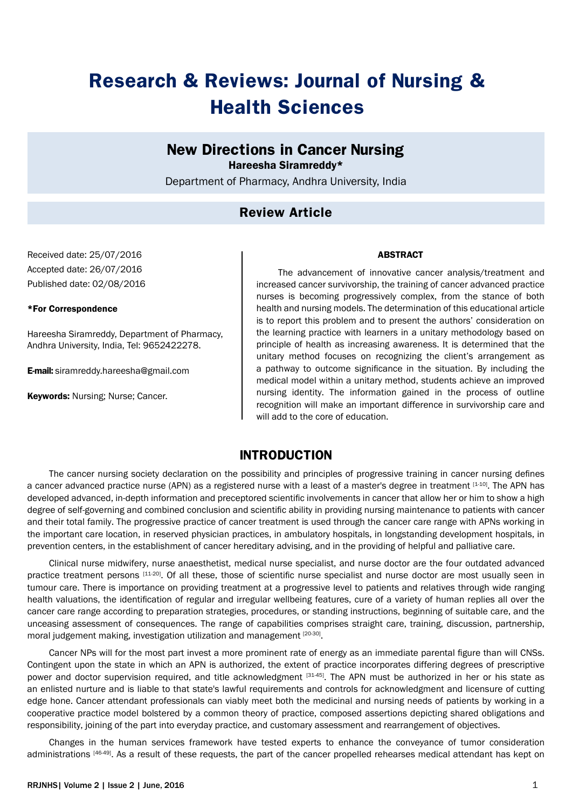# **Research & Reviews: Journal of Nursing & Health Sciences**

# **New Directions in Cancer Nursing**

Hareesha Siramreddy\*

Department of Pharmacy, Andhra University, India

## **Review Article**

Received date: 25/07/2016 Accepted date: 26/07/2016 Published date: 02/08/2016

#### \*For Correspondence

Hareesha Siramreddy, Department of Pharmacy, Andhra University, India, Tel: 9652422278.

E-mail: siramreddy.hareesha@gmail.com

Keywords: Nursing; Nurse; Cancer.

### **ARSTRACT**

The advancement of innovative cancer analysis/treatment and increased cancer survivorship, the training of cancer advanced practice nurses is becoming progressively complex, from the stance of both health and nursing models. The determination of this educational article is to report this problem and to present the authors' consideration on the learning practice with learners in a unitary methodology based on principle of health as increasing awareness. It is determined that the unitary method focuses on recognizing the client's arrangement as a pathway to outcome significance in the situation. By including the medical model within a unitary method, students achieve an improved nursing identity. The information gained in the process of outline recognition will make an important difference in survivorship care and will add to the core of education.

## **INTRODUCTION**

The cancer nursing society declaration on the possibility and principles of progressive training in cancer nursing defines a cancer advanced practice nurse (APN) as a registered nurse with a least of a master's degree in treatment [1-10]. The APN has developed advanced, in-depth information and preceptored scientific involvements in cancer that allow her or him to show a high degree of self-governing and combined conclusion and scientific ability in providing nursing maintenance to patients with cancer and their total family. The progressive practice of cancer treatment is used through the cancer care range with APNs working in the important care location, in reserved physician practices, in ambulatory hospitals, in longstanding development hospitals, in prevention centers, in the establishment of cancer hereditary advising, and in the providing of helpful and palliative care.

Clinical nurse midwifery, nurse anaesthetist, medical nurse specialist, and nurse doctor are the four outdated advanced practice treatment persons [11-20]. Of all these, those of scientific nurse specialist and nurse doctor are most usually seen in tumour care. There is importance on providing treatment at a progressive level to patients and relatives through wide ranging health valuations, the identification of regular and irregular wellbeing features, cure of a variety of human replies all over the cancer care range according to preparation strategies, procedures, or standing instructions, beginning of suitable care, and the unceasing assessment of consequences. The range of capabilities comprises straight care, training, discussion, partnership, moral judgement making, investigation utilization and management [20-30].

Cancer NPs will for the most part invest a more prominent rate of energy as an immediate parental figure than will CNSs. Contingent upon the state in which an APN is authorized, the extent of practice incorporates differing degrees of prescriptive power and doctor supervision required, and title acknowledgment [31-45]. The APN must be authorized in her or his state as an enlisted nurture and is liable to that state's lawful requirements and controls for acknowledgment and licensure of cutting edge hone. Cancer attendant professionals can viably meet both the medicinal and nursing needs of patients by working in a cooperative practice model bolstered by a common theory of practice, composed assertions depicting shared obligations and responsibility, joining of the part into everyday practice, and customary assessment and rearrangement of objectives.

Changes in the human services framework have tested experts to enhance the conveyance of tumor consideration administrations [46-49]. As a result of these requests, the part of the cancer propelled rehearses medical attendant has kept on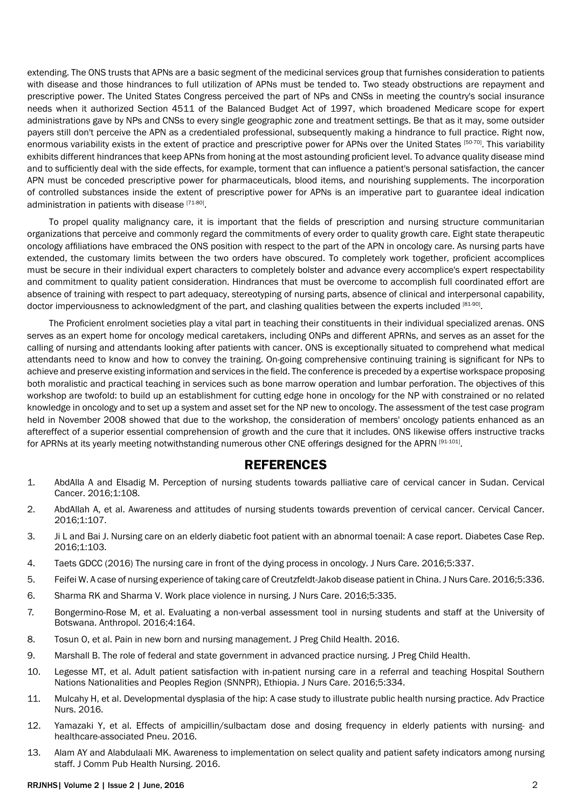extending. The ONS trusts that APNs are a basic segment of the medicinal services group that furnishes consideration to patients with disease and those hindrances to full utilization of APNs must be tended to. Two steady obstructions are repayment and prescriptive power. The United States Congress perceived the part of NPs and CNSs in meeting the country's social insurance needs when it authorized Section 4511 of the Balanced Budget Act of 1997, which broadened Medicare scope for expert administrations gave by NPs and CNSs to every single geographic zone and treatment settings. Be that as it may, some outsider payers still don't perceive the APN as a credentialed professional, subsequently making a hindrance to full practice. Right now, enormous variability exists in the extent of practice and prescriptive power for APNs over the United States [50-70]. This variability exhibits different hindrances that keep APNs from honing at the most astounding proficient level. To advance quality disease mind and to sufficiently deal with the side effects, for example, torment that can influence a patient's personal satisfaction, the cancer APN must be conceded prescriptive power for pharmaceuticals, blood items, and nourishing supplements. The incorporation of controlled substances inside the extent of prescriptive power for APNs is an imperative part to guarantee ideal indication administration in patients with disease [71-80].

To propel quality malignancy care, it is important that the fields of prescription and nursing structure communitarian organizations that perceive and commonly regard the commitments of every order to quality growth care. Eight state therapeutic oncology affiliations have embraced the ONS position with respect to the part of the APN in oncology care. As nursing parts have extended, the customary limits between the two orders have obscured. To completely work together, proficient accomplices must be secure in their individual expert characters to completely bolster and advance every accomplice's expert respectability and commitment to quality patient consideration. Hindrances that must be overcome to accomplish full coordinated effort are absence of training with respect to part adequacy, stereotyping of nursing parts, absence of clinical and interpersonal capability, doctor imperviousness to acknowledgment of the part, and clashing qualities between the experts included [81-90].

The Proficient enrolment societies play a vital part in teaching their constituents in their individual specialized arenas. ONS serves as an expert home for oncology medical caretakers, including ONPs and different APRNs, and serves as an asset for the calling of nursing and attendants looking after patients with cancer. ONS is exceptionally situated to comprehend what medical attendants need to know and how to convey the training. On-going comprehensive continuing training is significant for NPs to achieve and preserve existing information and services in the field. The conference is preceded by a expertise workspace proposing both moralistic and practical teaching in services such as bone marrow operation and lumbar perforation. The objectives of this workshop are twofold: to build up an establishment for cutting edge hone in oncology for the NP with constrained or no related knowledge in oncology and to set up a system and asset set for the NP new to oncology. The assessment of the test case program held in November 2008 showed that due to the workshop, the consideration of members' oncology patients enhanced as an aftereffect of a superior essential comprehension of growth and the cure that it includes. ONS likewise offers instructive tracks for APRNs at its yearly meeting notwithstanding numerous other CNE offerings designed for the APRN [91-101].

## **REFERENCES**

- 1. AbdAlla A and Elsadig M. [Perception of nursing students towards palliative care of cervical cancer in Sudan.](http://www.omicsonline.org/open-access/perception-of-nursing-students-towards-palliative-care-of-cervical-cancer-in-sudan-ccoa-1000108.php?aid=72871) Cervical [Cancer. 2016;1:108.](http://www.omicsonline.org/open-access/perception-of-nursing-students-towards-palliative-care-of-cervical-cancer-in-sudan-ccoa-1000108.php?aid=72871)
- 2. AbdAllah A, et al. Awareness and attitudes of nursing students towards prevention of cervical cancer. Cervical Cancer. 2016;1:107.
- 3. Ji L and Bai J. Nursing care on an elderly diabetic foot patient with an abnormal toenail: A case report. Diabetes Case Rep. 2016;1:103.
- 4. Taets GDCC (2016) The nursing care in front of the dying process in oncology. J Nurs Care. 2016;5:337.
- 5. Feifei W. [A case of nursing experience of taking care of Creutzfeldt-Jakob disease patient in China.J Nurs Care. 2016;5:336.](http://www.omicsgroup.org/journals/a-case-of-nursing-experience-of-taking-care-of-creutzfeldtjakob-diseasepatient-in-china-2167-1168-1000336.php?aid=72182)
- 6. [Sharma RK and Sharma V. Work place violence in nursing.](http://www.omicsgroup.org/journals/nursing-care-on-an-elderly-diabetic-foot-patient-with-an-abnormal-toenail-a-case-report-DCRS-1000103.php?aid=72676) J Nurs Care. 2016;5:335.
- 7. [Bongermino-Rose M, et al. Evaluating a non-verbal assessment tool in nursing students and staff at the University of](http://www.omicsonline.org/open-access/evaluating-a-nonverbal-assessment-tool-in-nursing-students-and-staff-atthe-university-of-botswana-2332-0915-1000164.php?aid=71839)  Botswana. [Anthropol. 2016;4:164.](http://www.omicsonline.org/open-access/evaluating-a-nonverbal-assessment-tool-in-nursing-students-and-staff-atthe-university-of-botswana-2332-0915-1000164.php?aid=71839)
- 8. Tosun O, et al. Pain in new born and nursing management. J Preg Child Health. 2016.
- 9. Marshall B. The role of federal and state government in advanced practice nursing. J Preg Child Health.
- 10. Legesse MT, et al. Adult patient satisfaction with in-patient nursing care in a referral and teaching Hospital Southern Nations Nationalities and Peoples Region (SNNPR), Ethiopia. J Nurs Care. 2016;5:334.
- 11. Mulcahy H, et al. Developmental dysplasia of the hip: A case study to illustrate public health nursing practice. Adv Practice Nurs. 2016.
- 12. [Yamazaki Y, et al. Effects of ampicillin/sulbactam dose and dosing frequency in elderly patients with nursing- and](http://www.esciencecentral.org/journals/effects-of-ampicillinsulbactam-dose-and-dosing-frequency-in-elderlypatients-with-nursing-and-healthcareassociated-pneumonia-nhcap-2332-0877-1000267.php?aid=68659)  [healthcare-associated Pneu](http://www.esciencecentral.org/journals/effects-of-ampicillinsulbactam-dose-and-dosing-frequency-in-elderlypatients-with-nursing-and-healthcareassociated-pneumonia-nhcap-2332-0877-1000267.php?aid=68659). 2016.
- 13. Al[am AY and Alabdulaali MK. Awareness to implementation on select quality and patient safety indicators among nursing](http://www.omicsonline.org/open-access/awareness-to-implementation-on-select-quality-and-patient-safetyindicators-among-nursing-staff-jcphn-1000111.php?aid=68570)  staff. [J Comm Pub Health Nursing. 2016.](http://www.omicsonline.org/open-access/awareness-to-implementation-on-select-quality-and-patient-safetyindicators-among-nursing-staff-jcphn-1000111.php?aid=68570)

#### RRJNHS| Volume 2 | Issue 2 | June, 2016 2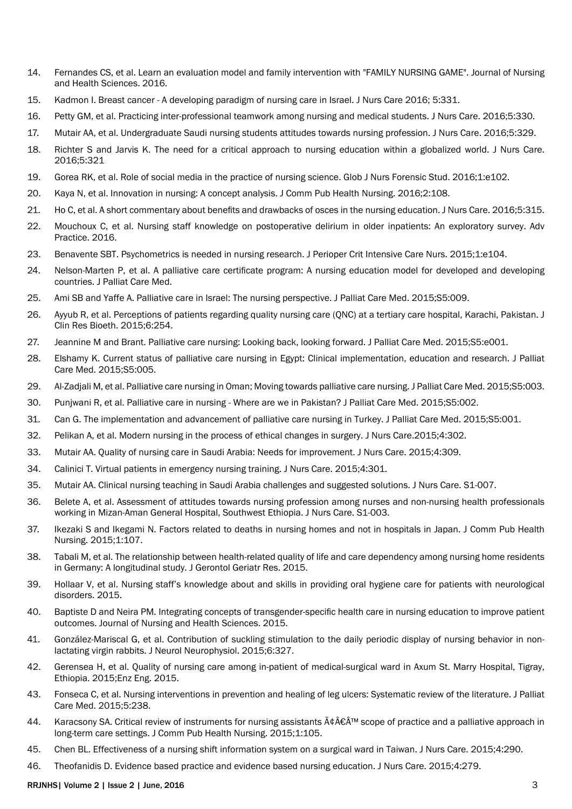- 14. Fernandes CS, et al. Learn an evaluation model and family intervention with "FAMILY NURSING GAME". Journal of Nursing and Health Sciences. 2016.
- 15. Kadmon I. Breast cancer A developing paradigm of nursing care in Israel. J Nurs Care 2016; 5:331.
- 16. Petty GM, et al. Practicing inter-professional teamwork among nursing and medical students. J Nurs Care. 2016;5:330.
- 17. Mutair AA, et al. Undergraduate Saudi nursing students attitudes towards nursing profession. J Nurs Care. 2016;5:329.
- 18. [Richter S and Jarvis K. The need for a critical approach to nursing education within a globalized world.](http://www.omicsgroup.org/journals/undergraduate-saudi-nursing-students-attitudes-towards-nursing-profession-2167-1168-1000329.php?aid=67770) J Nurs Care. [2016;5:321](http://www.omicsgroup.org/journals/undergraduate-saudi-nursing-students-attitudes-towards-nursing-profession-2167-1168-1000329.php?aid=67770)
- 19. Gorea RK, et al. Role of social media in the practice of nursing science. Glob J Nurs Forensic Stud. 2016;1:e102.
- 20. Kaya N, et al. Innovation in nursing: A concept analysis. J Comm Pub Health Nursing. 2016;2:108.
- 21. [Ho C, et al. A short commentary about benefits and drawbacks of osces in the nursing education.](http://www.omicsgroup.org/journals/a-short-commentary-about-benefits-and-drawbacks-of-osces-in-the-nursing-education-2167-1168-1000315.php?aid=66616) J Nurs Care. 2016;5:315.
- 22. Mouchoux C, et al. Nursing staff knowledge on postoperative delirium in older inpatients: An exploratory survey. Adv Practice. 2016.
- 23. [Benavente SBT. Psychometrics is needed in nursing research.](http://www.omicsonline.org/open-access/psychometrics-is-needed-in-nursing-research-jpcic-1000e104.php?aid=65880) J Perioper Crit Intensive Care Nurs. 2015;1:e104.
- 24. Nelson-Marten P, et al. A palliative care certificate program: A nursing education model for developed and developing countries. J Palliat Care Med.
- 25. [Ami SB and Yaffe A. Palliative care in Israel: The nursing perspective.](http://www.omicsgroup.org/journals/palliative-care-in-israel-the-nursing-perspective-2165-7386-1000S5009.php?aid=65624) J Palliat Care Med. 2015;S5:009.
- 26. [Ayyub R, et al. Perceptions of patients regarding quality nursing care \(QNC\) at a tertiary care hospital, Karachi, Pakistan.](http://www.omicsonline.org/open-access/perceptions-of-patients-regarding-quality-nursing-care-qnc-at-a-tertiary-care-hospital-karachi-pakistan-2155-9627-1000254.php?aid=65338) J [Clin Res Bioeth. 2015;6:254.](http://www.omicsonline.org/open-access/perceptions-of-patients-regarding-quality-nursing-care-qnc-at-a-tertiary-care-hospital-karachi-pakistan-2155-9627-1000254.php?aid=65338)
- 27. Jeannine M and Brant. Palliative care nursing: Looking back, looking forward. J Palliat Care Med. 2015;S5:e001.
- 28. Elshamy K. Current status of palliative care nursing in Egypt: Clinical implementation, education and research. J Palliat Care Med. 2015;S5:005.
- 29. Al-Zadjali M, et al. Palliative care nursing in Oman; Moving towards palliative care nursing. J Palliat Care Med. 2015;S5:003.
- 30. [Punjwani R, et al. Palliative care in nursing Where are we in Pakistan?](http://www.omicsgroup.org/journals/palliative-care-in-nursing--where-are-we-in-pakistan-2165-7386-1000S5002.php?aid=65132) J Palliat Care Med. 2015;S5:002.
- 31. [Can G. The implementation and advancement of palliative care nursing in Turkey.](http://www.omicsgroup.org/journals/the-implementation-and-advancement-of-palliative-care-nursing-inturkey-2165-7386-1000S5001.php?aid=65131) J Palliat Care Med. 2015;S5:001.
- 32. Pelikan A, et al. Modern nursing in the process of ethical changes in surgery. J Nurs Care.2015;4:302.
- 33. [Mutair AA. Quality of nursing care in Saudi Arabia: Needs for improvement.](http://www.omicsgroup.org/journals/quality-of-nursing-care-in-saudi-arabia-needs-for-improvement-2167-1168-1000309.php?aid=64995) J Nurs Care. 2015;4:309.
- 34. [Calinici T. Virtual patients in emergency nursing training.](http://www.omicsgroup.org/journals/virtual-patients-in-emergency-nursing-training-2167-1168-1000301.php?aid=64992) J Nurs Care. 2015;4:301.
- 35. [Mutair AA. Clinical nursing teaching in Saudi Arabia challenges and suggested solutions.](http://www.omicsgroup.org/journals/clinical-nursing-teaching-in-saudi-arabia-challenges-and-suggested-solutions-2167-1168-S1-007.php?aid=64855) J Nurs Care. S1-007.
- 36. [Belete A, et al. Assessment of attitudes towards nursing profession among nurses and non-nursing health professionals](http://www.omicsgroup.org/journals/assessment-of-attitudes-towards-nursing-profession-among-nurses-and-nonnursing-health-professionals-working-in-mizanaman-general-hospital-southwest-ethiopia-2167-1168-S1-003.php?aid=64732)  [working in Mizan-Aman General Hospital, Southwest Ethiopia.](http://www.omicsgroup.org/journals/assessment-of-attitudes-towards-nursing-profession-among-nurses-and-nonnursing-health-professionals-working-in-mizanaman-general-hospital-southwest-ethiopia-2167-1168-S1-003.php?aid=64732) J Nurs Care. S1-003.
- 37. [Ikezaki S and Ikegami N. Factors related to deaths in nursing homes and not in hospitals in Japan.](http://www.omicsonline.org/open-access/factors-related-to-deaths-in-nursing-homes-and-not-in-hospitals-in-japan-jcphn-1000107.php?aid=64270) J Comm Pub Health [Nursing. 2015;1:107.](http://www.omicsonline.org/open-access/factors-related-to-deaths-in-nursing-homes-and-not-in-hospitals-in-japan-jcphn-1000107.php?aid=64270)
- 38. [Tabali M, et al. The relationship between health-related quality of life and care dependency among nursing home residents](http://www.omicsgroup.org/journals/the-relationship-between-healthrelated-quality-of-life-and-care-dependency-among-nursing-home-residents-in-germany-a-longitudinal-study-2167-7182-1000239.php?aid=64241)  [in Germany: A longitudinal study.](http://www.omicsgroup.org/journals/the-relationship-between-healthrelated-quality-of-life-and-care-dependency-among-nursing-home-residents-in-germany-a-longitudinal-study-2167-7182-1000239.php?aid=64241) J Gerontol Geriatr Res. 2015.
- 39. [Hollaar V, et al. Nursing staff's knowledge about and skills in providing oral hygiene care for patients with neurological](http://www.esciencecentral.org/journals/nursing-staffs-knowledge-about-and-skills-in-providing-oral-hygienecare-for-patients-with-neurological-disorders-2332-0702-1000190.php?aid=64214)  [disorders](http://www.esciencecentral.org/journals/nursing-staffs-knowledge-about-and-skills-in-providing-oral-hygienecare-for-patients-with-neurological-disorders-2332-0702-1000190.php?aid=64214). 2015.
- 40. [Baptiste D and Neira PM. Integrating concepts of transgender-specific health care in nursing education to improve patient](http://www.rroij.com/open-access/integrating-concepts-of-transgenderspecific-health-care-in-nursing-education-to-improve-patient-outcomes.php?aid=64183)  outcomes. [Journal of Nursing and Health Sciences.](http://www.rroij.com/open-access/integrating-concepts-of-transgenderspecific-health-care-in-nursing-education-to-improve-patient-outcomes.php?aid=64183) 2015.
- 41. [González-Mariscal G, et al. Contribution of suckling stimulation to the daily periodic display of nursing behavior in non](http://www.omicsonline.org/open-access/contribution-of-suckling-stimulation-to-the-daily-periodic-display-ofnursing-behavior-in-nonlactating-virgin-rabbits-2155-9562-1000327.php?aid=64154)lactating virgin rabbits. [J Neurol Neurophysiol. 2015;6:327.](http://www.omicsonline.org/open-access/contribution-of-suckling-stimulation-to-the-daily-periodic-display-ofnursing-behavior-in-nonlactating-virgin-rabbits-2155-9562-1000327.php?aid=64154)
- 42. [Gerensea H, et al. Quality of nursing care among in-patient of medical-surgical ward in Axum St. Marry Hospital, Tigray,](http://www.omicsgroup.org/journals/quality-of-nursing-care-among-inpatient-of-medicalsurgical-ward-inaxum-st-marry-hospital-tigray-ethiopia-2015-2329-6674-1000132.php?aid=64141)  [Ethiopia. 2015;Enz Eng. 2015.](http://www.omicsgroup.org/journals/quality-of-nursing-care-among-inpatient-of-medicalsurgical-ward-inaxum-st-marry-hospital-tigray-ethiopia-2015-2329-6674-1000132.php?aid=64141)
- 43. [Fonseca C, et al. Nursing interventions in prevention and healing of leg ulcers: Systematic review of the literature.](http://www.omicsgroup.org/journals/nursing-interventions-in-prevention-and-healing-of-leg-ulcerssystematic-review-of-the-literature-2165-7386-1000238.php?aid=64032) J Palliat [Care Med. 2015;5:238.](http://www.omicsgroup.org/journals/nursing-interventions-in-prevention-and-healing-of-leg-ulcerssystematic-review-of-the-literature-2165-7386-1000238.php?aid=64032)
- 44. Karacsony SA. Critical review of instruments for nursing assistants  $\tilde{A} \phi \hat{A} \epsilon \hat{A}^{\text{TM}}$  scope of practice and a palliative approach in long-term care settings. [J Comm Pub Health Nursing. 2015;1:105](http://www.omicsonline.org/open-access/a-critical-review-of-instruments-for-nursing-assistants-scope-of-practiceand-a-palliative-approach-in-longterm-care-settings-jcphn-1000105.php?aid=63997).
- 45. [Chen BL. Effectiveness of a nursing shift information system on a surgical ward in Taiwan.](http://www.omicsgroup.org/journals/effectiveness-of-a-nursing-shift-information-system-on-a-surgical-ward-intaiwan-2167-1168-1000290.php?aid=63110) J Nurs Care. 2015;4:290.
- 46. [Theofanidis D. Evidence based practice and evidence based nursing education.](http://www.omicsgroup.org/journals/evidence-based-practice-and-evidence-based-nursing-education-2167-1168-1000279.php?aid=63108) J Nurs Care. 2015;4:279.

#### RRJNHS| Volume 2 | Issue 2 | June, 2016 3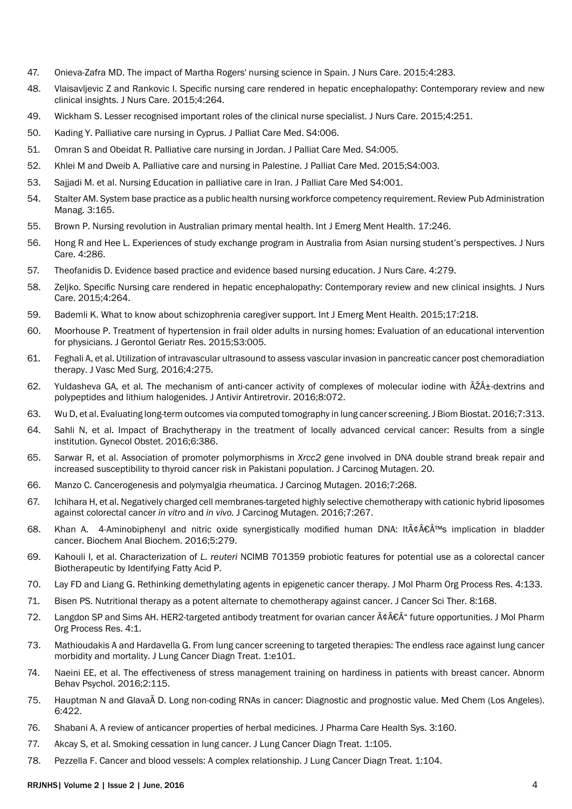- 47. [Onieva-Zafra MD. The impact of Martha Rogers' nursing science in Spain.](http://www.omicsgroup.org/journals/the-impact-of-martha-rogers-nursing-science-in-spain-2167-1168-1000283.php?aid=63107) J Nurs Care. 2015;4:283.
- 48. [Vlaisavljevic Z and Rankovic I. Specific nursing care rendered in hepatic encephalopathy: Contemporary review and new](http://www.omicsgroup.org/journals/specific-nursing-care-rendered-in-hepatic-encephalopathy-contemporaryreview-and-new-clinical-insights-2167-1168-1000264.php?aid=63106)  clinical insights. [J Nurs Care. 2015;4:264.](http://www.omicsgroup.org/journals/specific-nursing-care-rendered-in-hepatic-encephalopathy-contemporaryreview-and-new-clinical-insights-2167-1168-1000264.php?aid=63106)
- 49. Wickham S. [Lesser recognised important roles of the clinical nurse specialist.](http://www.omicsgroup.org/journals/lesser-recognised-important-roles-of-the-clinical-nurse-specialist-2167-1168-1000251.php?aid=63101) J Nurs Care. 2015;4:251.
- 50. Kading Y. Palliative care nursing in Cyprus. J Palliat Care Med. S4:006.
- 51. [Omran S and Obeidat R. Palliative care nursing in Jordan.](http://www.omicsgroup.org/journals/palliative-care-nursing-in-jordan-2165-7386-1000S4005.php?aid=60156) J Palliat Care Med. S4:005.
- 52. [Khlei M and Dweib A. Palliative care and nursing in Palestine.](http://www.omicsgroup.org/journals/palliative-care-and-nursing-in-palestine-2015-2165-7386-1000S4003.php?aid=60154) J Palliat Care Med. 2015;S4:003.
- 53. [Sajjadi M. et al. Nursing Education in palliative care in Iran.](http://www.omicsgroup.org/journals/nursing-education-in-palliative-care-in-iran-2165-7386-1000S4001.php?aid=60152) J Palliat Care Med S4:001.
- 54. [Stalter AM. System base practice as a public health nursing workforce competency requirement.](http://www.omicsonline.com/open-access/system-base-practice-as-a-public-health-nursing-workforce-competencyrequirement-2315-7844-1000165.php?aid=59853) Review Pub Administration [Manag. 3:165.](http://www.omicsonline.com/open-access/system-base-practice-as-a-public-health-nursing-workforce-competencyrequirement-2315-7844-1000165.php?aid=59853)
- 55. [Brown P. Nursing revolution in Australian primary mental health.](http://www.omicsonline.com/open-access/nursing-revolution-in-australian-primary-mental-health-1522-4821-1000246.php?aid=59387) Int J Emerg Ment Health. 17:246.
- 56. [Hong R and Hee L. Experiences of study exchange program in Australia from Asian nursing student's perspectives.](http://www.omicsgroup.org/journals/experiences-of-study-exchange-program-in-australia-from-asian-nursing-students-perspectives-2167-1168-1000286.php?aid=59012) J Nurs [Care. 4:286.](http://www.omicsgroup.org/journals/experiences-of-study-exchange-program-in-australia-from-asian-nursing-students-perspectives-2167-1168-1000286.php?aid=59012)
- 57. [Theofanidis D. Evidence based practice and evidence based nursing education.](http://www.omicsgroup.org/journals/evidence-based-practice-and-evidence-based-nursing-education-2167-1168-1000279.php?aid=58299) J Nurs Care. 4:279.
- 58. Zeljko. Specific Nursing care rendered in hepatic encephalopathy: Contemporary review and new clinical insights. J Nurs Care. 2015;4:264.
- 59. [Bademli K. What to know about schizophrenia caregiver support.](http://www.omicsonline.com/open-access/what-to-know-about-schizophrenia-caregiver-support-1522-4821-1000218.php?aid=55766) Int J Emerg Ment Health. 2015;17:218.
- 60. [Moorhouse P. Treatment of hypertension in frail older adults in nursing homes: Evaluation of an educational intervention](http://www.omicsgroup.org/journals/treatment-of-hypertension-in-frail-older-adults-in-nursing-homesevaluation-of-an-educational-intervention-for-physicians-2167-7182-1000S3-005.php?aid=55151)  for physicians. [J Gerontol Geriatr Res. 2015;S3:005.](http://www.omicsgroup.org/journals/treatment-of-hypertension-in-frail-older-adults-in-nursing-homesevaluation-of-an-educational-intervention-for-physicians-2167-7182-1000S3-005.php?aid=55151)
- 61. [Feghali A, et al. Utilization of intravascular ultrasound to assess vascular invasion in pancreatic cancer post chemoradiation](http://www.esciencecentral.org/journals/utilization-of-intravascular-ultrasound-to-assess-vascular-invasion-inpancreatic-cancer-post-chemoradiation-therapy-2329-6925-1000275.php?aid=76385)  therapy. [J Vasc Med Surg. 2016;4:275.](http://www.esciencecentral.org/journals/utilization-of-intravascular-ultrasound-to-assess-vascular-invasion-inpancreatic-cancer-post-chemoradiation-therapy-2329-6925-1000275.php?aid=76385)
- 62. Yuldasheva GA, et al. The mechanism of anti-cancer activity of complexes of molecular iodine with  $\tilde{A}Z\tilde{A}Z$ +-dextrins and [polypeptides and lithium halogenides.](http://www.omicsonline.org/open-access/the-mechanism-of-anticancer-activity-of-complexes-of-molecular-iodine-withdextrins-and-polypeptides-and-lithium-halogenides-jaa-1000138.php?aid=76355) J Antivir Antiretrovir. 2016;8:072.
- 63. [Wu D, et al. Evaluating long-term outcomes via computed tomography in lung cancer screening.J Biom Biostat. 2016;7:313.](http://www.omicsonline.org/open-access/evaluating-longterm-outcomes-via-computed-tomography-in-lungcancer-screening-2155-6180-1000313.php?aid=76251)
- 64. [Sahli N, et al. Impact of Brachytherapy in the treatment of locally advanced cervical cancer: Results from a single](http://www.omicsonline.org/open-access/impact-of-brachytherapy-in-the-treatment-of-locally-advanced-cervical-cancer-results-from-a-single-institution-2161-0932-1000386.php?aid=76244)  institution. [Gynecol Obstet. 2016;6:386](http://www.omicsonline.org/open-access/impact-of-brachytherapy-in-the-treatment-of-locally-advanced-cervical-cancer-results-from-a-single-institution-2161-0932-1000386.php?aid=76244).
- 65. [Sarwar R, et al. Association of promoter polymorphisms in](http://www.omicsonline.org/open-access/association-of-promoter-polymorphisms-in-xrcc2-gene-involved-in-dna-double-strand-break-repair-and-increased-susceptibility-to-thy-2157-2518-1000265.php?aid=76235) *Xrcc2* gene involved in DNA double strand break repair and [increased susceptibility to thyroid cancer risk in Pakistani population.](http://www.omicsonline.org/open-access/association-of-promoter-polymorphisms-in-xrcc2-gene-involved-in-dna-double-strand-break-repair-and-increased-susceptibility-to-thy-2157-2518-1000265.php?aid=76235) J Carcinog Mutagen. 20.
- 66. [Manzo C. Cancerogenesis and polymyalgia rheumatica.](http://www.omicsonline.org/open-access/cancerogenesis-and-polymyalgia-rheumatica-2157-2518-1000268.php?aid=76234) J Carcinog Mutagen. 2016;7:268.
- 67. [Ichihara H, et al. Negatively charged cell membranes-targeted highly selective chemotherapy with cationic hybrid liposomes](http://www.omicsonline.org/open-access/negatively-charged-cell-membranestargeted-highly-selective-chemotherapy-with-cationic-hybrid-liposomes-against-colorectal-cancer-i-2157-2518-1000267.php?aid=76233)  against colorectal cancer *in vitro* and *in vivo.* [J Carcinog Mutagen. 2016;7:267.](http://www.omicsonline.org/open-access/negatively-charged-cell-membranestargeted-highly-selective-chemotherapy-with-cationic-hybrid-liposomes-against-colorectal-cancer-i-2157-2518-1000267.php?aid=76233)
- 68. Khan A. 4-Aminobiphenyl and nitric oxide synergistically modified human DNA: It¢Â€Â™s implication in bladder cancer. [Biochem Anal Biochem. 2016;5:279.](http://www.omicsonline.org/open-access/4aminobiphenyl-and-nitric-oxide-synergistically-modified-human-dna-itsimplication-in-bladder-cancer-2161-1009-1000279.php?aid=76210)
- 69. Kahouli I, et al. Characterization of *L. reuteri* [NCIMB 701359 probiotic features for potential use as a colorectal cancer](http://www.omicsgroup.org/journals/characterization-of-l-reuteri-ncimb-701359-probiotic-features-forpotential-use-as-a-colorectal-cancer-biotherapeutic-by-identifyin-2169-0138-1000131.php?aid=76188)  [Biotherapeutic by Identifying Fatty Acid P](http://www.omicsgroup.org/journals/characterization-of-l-reuteri-ncimb-701359-probiotic-features-forpotential-use-as-a-colorectal-cancer-biotherapeutic-by-identifyin-2169-0138-1000131.php?aid=76188).
- 70. [Lay FD and Liang G. Rethinking demethylating agents in epigenetic cancer therapy.](http://www.esciencecentral.org/journals/rethinking-demethylating-agents-in-epigenetic-cancer-therapy-2329-9053-1000133.php?aid=76001) J Mol Pharm Org Process Res. 4:133.
- 71. [Bisen PS. Nutritional therapy as a potent alternate to chemotherapy against cancer.](http://www.omicsonline.org/open-access/nutritional-therapy-as-a-potent-alternate-to-chemotherapy-againstcancer-1948-5956-1000e135.php?aid=75962) J Cancer Sci Ther. 8:168.
- 72. Langdon SP and Sims AH. HER2-targeted antibody treatment for ovarian cancer  $\tilde{A}\phi \hat{A} \epsilon \hat{A}^*$  future opportunities. J Mol Pharm [Org Process Res. 4:1.](http://www.esciencecentral.org/journals/her2targeted-antibody-treatment-for-ovarian-cancer--future-opportunities-2329-9053-1000e125.php?aid=75960)
- 73. [Mathioudakis A and Hardavella G. From lung cancer screening to targeted therapies: The endless race against lung cancer](http://www.omicsonline.org/open-access/from-lung-cancer-screening-to-targeted-therapies-the-endless-race-againstlung-cancer-morbidity-and-mortality-jlcdt-1000e101.php?aid=75934)  morbidity and mortality. [J Lung Cancer Diagn Treat. 1:e101](http://www.omicsonline.org/open-access/from-lung-cancer-screening-to-targeted-therapies-the-endless-race-againstlung-cancer-morbidity-and-mortality-jlcdt-1000e101.php?aid=75934).
- 74. [Naeini EE, et al. The effectiveness of stress management training on hardiness in patients with breast cancer.](http://www.omicsgroup.org/journals/the-effectiveness-of-stress-management-training-on-hardiness-in-patients-with-breast-cancer-2472-0496-1000115.php?aid=75921) Abnorm [Behav Psychol. 2016;2:115.](http://www.omicsgroup.org/journals/the-effectiveness-of-stress-management-training-on-hardiness-in-patients-with-breast-cancer-2472-0496-1000115.php?aid=75921)
- 75. [Hauptman N and Glavaà D. Long non-coding RNAs in cancer: Diagnostic and prognostic value.](http://www.omicsonline.org/open-access/long-noncoding-rnas-in-cancer-diagnostic-and-prognostic-value-2161-0444-1000379.php?aid=75846) Med Chem (Los Angeles). [6:422.](http://www.omicsonline.org/open-access/long-noncoding-rnas-in-cancer-diagnostic-and-prognostic-value-2161-0444-1000379.php?aid=75846)
- 76. [Shabani A. A review of anticancer properties of herbal medicines.](http://www.omicsgroup.org/journals/a-review-of-anticancer-properties-of-herbal-medicines-2376-0419-1000160.php?aid=75807) J Pharma Care Health Sys. 3:160.
- 77. [Akcay S, et al. Smoking cessation in lung cancer.](http://www.omicsonline.org/open-access/smoking-cessation-in-lung-cancer-jlcdt-1000105.php?aid=75792) J Lung Cancer Diagn Treat. 1:105.
- 78. [Pezzella F. Cancer and blood vessels: A complex relationship.](http://www.omicsonline.org/open-access/cancer-and-blood-vessels-a-complex-relationship-jlcdt-1000104.php?aid=75791) J Lung Cancer Diagn Treat. 1:104.